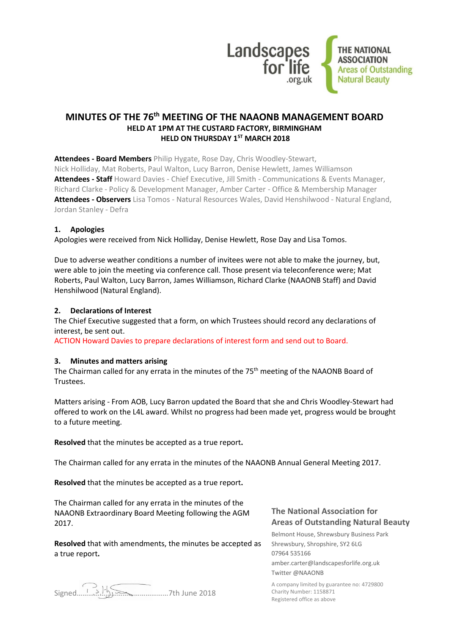

# **MINUTES OF THE 76th MEETING OF THE NAAONB MANAGEMENT BOARD HELD AT 1PM AT THE CUSTARD FACTORY, BIRMINGHAM HELD ON THURSDAY 1ST MARCH 2018**

**Attendees - Board Members** Philip Hygate, Rose Day, Chris Woodley-Stewart, Nick Holliday, Mat Roberts, Paul Walton, Lucy Barron, Denise Hewlett, James Williamson **Attendees - Staff** Howard Davies - Chief Executive, Jill Smith - Communications & Events Manager, Richard Clarke - Policy & Development Manager, Amber Carter - Office & Membership Manager **Attendees - Observers** Lisa Tomos - Natural Resources Wales, David Henshilwood - Natural England, Jordan Stanley - Defra

## **1. Apologies**

Apologies were received from Nick Holliday, Denise Hewlett, Rose Day and Lisa Tomos.

Due to adverse weather conditions a number of invitees were not able to make the journey, but, were able to join the meeting via conference call. Those present via teleconference were; Mat Roberts, Paul Walton, Lucy Barron, James Williamson, Richard Clarke (NAAONB Staff) and David Henshilwood (Natural England).

## **2. Declarations of Interest**

The Chief Executive suggested that a form, on which Trustees should record any declarations of interest, be sent out.

ACTION Howard Davies to prepare declarations of interest form and send out to Board.

#### **3. Minutes and matters arising**

The Chairman called for any errata in the minutes of the 75<sup>th</sup> meeting of the NAAONB Board of Trustees.

Matters arising - From AOB, Lucy Barron updated the Board that she and Chris Woodley-Stewart had offered to work on the L4L award. Whilst no progress had been made yet, progress would be brought to a future meeting.

**Resolved** that the minutes be accepted as a true report**.**

The Chairman called for any errata in the minutes of the NAAONB Annual General Meeting 2017.

**Resolved** that the minutes be accepted as a true report**.**

The Chairman called for any errata in the minutes of the NAAONB Extraordinary Board Meeting following the AGM 2017.

**Resolved** that with amendments, the minutes be accepted as a true report**.**

# **The National Association for Areas of Outstanding Natural Beauty**

Belmont House, Shrewsbury Business Park Shrewsbury, Shropshire, SY2 6LG 07964 535166 amber.carter@landscapesforlife.org.uk Twitter @NAAONB

A company limited by guarantee no: 4729800 Charity Number: 1158871 Registered office as above

..............7th June 2018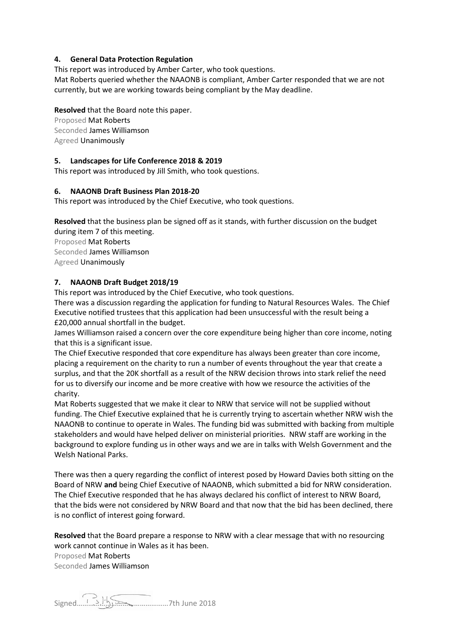# **4. General Data Protection Regulation**

This report was introduced by Amber Carter, who took questions.

Mat Roberts queried whether the NAAONB is compliant, Amber Carter responded that we are not currently, but we are working towards being compliant by the May deadline.

# **Resolved** that the Board note this paper.

Proposed Mat Roberts Seconded James Williamson Agreed Unanimously

## **5. Landscapes for Life Conference 2018 & 2019**

This report was introduced by Jill Smith, who took questions.

## **6. NAAONB Draft Business Plan 2018-20**

This report was introduced by the Chief Executive, who took questions.

**Resolved** that the business plan be signed off as it stands, with further discussion on the budget during item 7 of this meeting.

Proposed Mat Roberts Seconded James Williamson Agreed Unanimously

# **7. NAAONB Draft Budget 2018/19**

This report was introduced by the Chief Executive, who took questions.

There was a discussion regarding the application for funding to Natural Resources Wales. The Chief Executive notified trustees that this application had been unsuccessful with the result being a £20,000 annual shortfall in the budget.

James Williamson raised a concern over the core expenditure being higher than core income, noting that this is a significant issue.

The Chief Executive responded that core expenditure has always been greater than core income, placing a requirement on the charity to run a number of events throughout the year that create a surplus, and that the 20K shortfall as a result of the NRW decision throws into stark relief the need for us to diversify our income and be more creative with how we resource the activities of the charity.

Mat Roberts suggested that we make it clear to NRW that service will not be supplied without funding. The Chief Executive explained that he is currently trying to ascertain whether NRW wish the NAAONB to continue to operate in Wales. The funding bid was submitted with backing from multiple stakeholders and would have helped deliver on ministerial priorities. NRW staff are working in the background to explore funding us in other ways and we are in talks with Welsh Government and the Welsh National Parks.

There was then a query regarding the conflict of interest posed by Howard Davies both sitting on the Board of NRW **and** being Chief Executive of NAAONB, which submitted a bid for NRW consideration. The Chief Executive responded that he has always declared his conflict of interest to NRW Board, that the bids were not considered by NRW Board and that now that the bid has been declined, there is no conflict of interest going forward.

**Resolved** that the Board prepare a response to NRW with a clear message that with no resourcing work cannot continue in Wales as it has been.

Proposed Mat Roberts Seconded James Williamson

Signed…………………………………………7th June 2018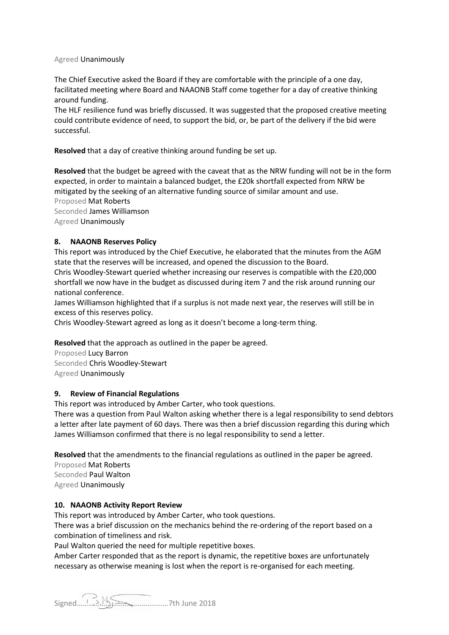#### Agreed Unanimously

The Chief Executive asked the Board if they are comfortable with the principle of a one day, facilitated meeting where Board and NAAONB Staff come together for a day of creative thinking around funding.

The HLF resilience fund was briefly discussed. It was suggested that the proposed creative meeting could contribute evidence of need, to support the bid, or, be part of the delivery if the bid were successful.

**Resolved** that a day of creative thinking around funding be set up.

**Resolved** that the budget be agreed with the caveat that as the NRW funding will not be in the form expected, in order to maintain a balanced budget, the £20k shortfall expected from NRW be mitigated by the seeking of an alternative funding source of similar amount and use. Proposed Mat Roberts Seconded James Williamson Agreed Unanimously

## **8. NAAONB Reserves Policy**

This report was introduced by the Chief Executive, he elaborated that the minutes from the AGM state that the reserves will be increased, and opened the discussion to the Board.

Chris Woodley-Stewart queried whether increasing our reserves is compatible with the £20,000 shortfall we now have in the budget as discussed during item 7 and the risk around running our national conference.

James Williamson highlighted that if a surplus is not made next year, the reserves will still be in excess of this reserves policy.

Chris Woodley-Stewart agreed as long as it doesn't become a long-term thing.

**Resolved** that the approach as outlined in the paper be agreed.

Proposed Lucy Barron Seconded Chris Woodley-Stewart Agreed Unanimously

#### **9. Review of Financial Regulations**

This report was introduced by Amber Carter, who took questions.

There was a question from Paul Walton asking whether there is a legal responsibility to send debtors a letter after late payment of 60 days. There was then a brief discussion regarding this during which James Williamson confirmed that there is no legal responsibility to send a letter.

**Resolved** that the amendments to the financial regulations as outlined in the paper be agreed.

Proposed Mat Roberts Seconded Paul Walton Agreed Unanimously

#### **10. NAAONB Activity Report Review**

This report was introduced by Amber Carter, who took questions.

There was a brief discussion on the mechanics behind the re-ordering of the report based on a combination of timeliness and risk.

Paul Walton queried the need for multiple repetitive boxes.

Amber Carter responded that as the report is dynamic, the repetitive boxes are unfortunately necessary as otherwise meaning is lost when the report is re-organised for each meeting.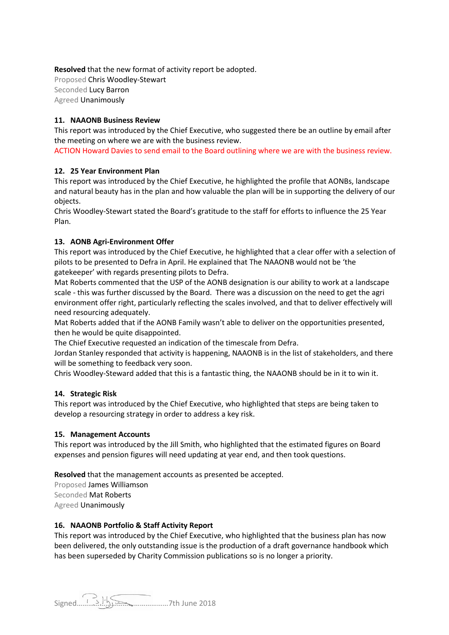**Resolved** that the new format of activity report be adopted. Proposed Chris Woodley-Stewart Seconded Lucy Barron Agreed Unanimously

# **11. NAAONB Business Review**

This report was introduced by the Chief Executive, who suggested there be an outline by email after the meeting on where we are with the business review.

ACTION Howard Davies to send email to the Board outlining where we are with the business review.

## **12. 25 Year Environment Plan**

This report was introduced by the Chief Executive, he highlighted the profile that AONBs, landscape and natural beauty has in the plan and how valuable the plan will be in supporting the delivery of our objects.

Chris Woodley-Stewart stated the Board's gratitude to the staff for efforts to influence the 25 Year Plan.

## **13. AONB Agri-Environment Offer**

This report was introduced by the Chief Executive, he highlighted that a clear offer with a selection of pilots to be presented to Defra in April. He explained that The NAAONB would not be 'the gatekeeper' with regards presenting pilots to Defra.

Mat Roberts commented that the USP of the AONB designation is our ability to work at a landscape scale - this was further discussed by the Board. There was a discussion on the need to get the agri environment offer right, particularly reflecting the scales involved, and that to deliver effectively will need resourcing adequately.

Mat Roberts added that if the AONB Family wasn't able to deliver on the opportunities presented, then he would be quite disappointed.

The Chief Executive requested an indication of the timescale from Defra.

Jordan Stanley responded that activity is happening, NAAONB is in the list of stakeholders, and there will be something to feedback very soon.

Chris Woodley-Steward added that this is a fantastic thing, the NAAONB should be in it to win it.

#### **14. Strategic Risk**

This report was introduced by the Chief Executive, who highlighted that steps are being taken to develop a resourcing strategy in order to address a key risk.

#### **15. Management Accounts**

This report was introduced by the Jill Smith, who highlighted that the estimated figures on Board expenses and pension figures will need updating at year end, and then took questions.

**Resolved** that the management accounts as presented be accepted.

Proposed James Williamson Seconded Mat Roberts Agreed Unanimously

# **16. NAAONB Portfolio & Staff Activity Report**

This report was introduced by the Chief Executive, who highlighted that the business plan has now been delivered, the only outstanding issue is the production of a draft governance handbook which has been superseded by Charity Commission publications so is no longer a priority.